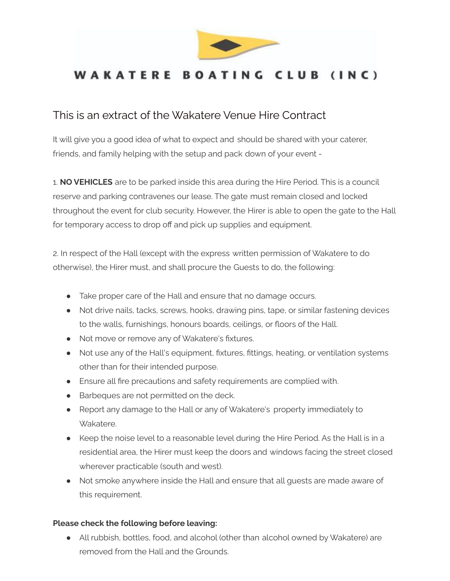

## WAKATERE BOATING CLUB (INC)

## This is an extract of the Wakatere Venue Hire Contract

It will give you a good idea of what to expect and should be shared with your caterer, friends, and family helping with the setup and pack down of your event -

1. **NO VEHICLES** are to be parked inside this area during the Hire Period. This is a council reserve and parking contravenes our lease. The gate must remain closed and locked throughout the event for club security. However, the Hirer is able to open the gate to the Hall for temporary access to drop off and pick up supplies and equipment.

2. In respect of the Hall (except with the express written permission of Wakatere to do otherwise), the Hirer must, and shall procure the Guests to do, the following:

- Take proper care of the Hall and ensure that no damage occurs.
- Not drive nails, tacks, screws, hooks, drawing pins, tape, or similar fastening devices to the walls, furnishings, honours boards, ceilings, or floors of the Hall.
- Not move or remove any of Wakatere's fixtures.
- Not use any of the Hall's equipment, fixtures, fittings, heating, or ventilation systems other than for their intended purpose.
- Ensure all fire precautions and safety requirements are complied with.
- Barbeques are not permitted on the deck.
- Report any damage to the Hall or any of Wakatere's property immediately to Wakatere.
- Keep the noise level to a reasonable level during the Hire Period. As the Hall is in a residential area, the Hirer must keep the doors and windows facing the street closed wherever practicable (south and west).
- Not smoke anywhere inside the Hall and ensure that all guests are made aware of this requirement.

## **Please check the following before leaving:**

● All rubbish, bottles, food, and alcohol (other than alcohol owned by Wakatere) are removed from the Hall and the Grounds.